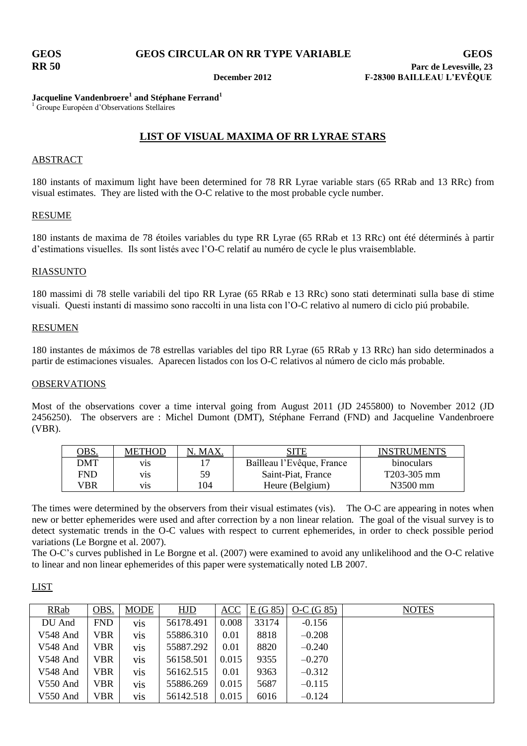## **Jacqueline Vandenbroere<sup>1</sup> and Stéphane Ferrand<sup>1</sup>**

<sup>1</sup> Groupe Européen d'Observations Stellaires

# **LIST OF VISUAL MAXIMA OF RR LYRAE STARS**

## ABSTRACT

180 instants of maximum light have been determined for 78 RR Lyrae variable stars (65 RRab and 13 RRc) from visual estimates. They are listed with the O-C relative to the most probable cycle number.

### RESUME

180 instants de maxima de 78 étoiles variables du type RR Lyrae (65 RRab et 13 RRc) ont été déterminés à partir d'estimations visuelles. Ils sont listés avec l'O-C relatif au numéro de cycle le plus vraisemblable.

## RIASSUNTO

180 massimi di 78 stelle variabili del tipo RR Lyrae (65 RRab e 13 RRc) sono stati determinati sulla base di stime visuali. Questi instanti di massimo sono raccolti in una lista con l'O-C relativo al numero di ciclo piú probabile.

### RESUMEN

180 instantes de máximos de 78 estrellas variables del tipo RR Lyrae (65 RRab y 13 RRc) han sido determinados a partir de estimaciones visuales. Aparecen listados con los O-C relativos al número de ciclo más probable.

## OBSERVATIONS

Most of the observations cover a time interval going from August 2011 (JD 2455800) to November 2012 (JD 2456250). The observers are : Michel Dumont (DMT), Stéphane Ferrand (FND) and Jacqueline Vandenbroere (VBR).

| <u>dBS.</u> | <b>METHOD</b> | . MAX | SITE                      | <b>INSTRUMENTS</b> |
|-------------|---------------|-------|---------------------------|--------------------|
| <b>DMT</b>  | V1S           |       | Baîlleau l'Evêque, France | <b>binoculars</b>  |
| FND         | V1S           | 59    | Saint-Piat, France        | T203-305 mm        |
| VBR         | V1S.          | 104   | Heure (Belgium)           | $N3500$ mm         |

The times were determined by the observers from their visual estimates (vis). The O-C are appearing in notes when new or better ephemerides were used and after correction by a non linear relation. The goal of the visual survey is to detect systematic trends in the O-C values with respect to current ephemerides, in order to check possible period variations (Le Borgne et al. 2007).

The O-C's curves published in Le Borgne et al. (2007) were examined to avoid any unlikelihood and the O-C relative to linear and non linear ephemerides of this paper were systematically noted LB 2007.

## LIST

| <b>RRab</b> | OBS.       | <b>MODE</b>      | HJD       | ACC   | E(G 85) | $O-C(G 85)$ | <b>NOTES</b> |
|-------------|------------|------------------|-----------|-------|---------|-------------|--------------|
| DU And      | <b>FND</b> | vis              | 56178.491 | 0.008 | 33174   | $-0.156$    |              |
| V548 And    | VBR        | vis              | 55886.310 | 0.01  | 8818    | $-0.208$    |              |
| V548 And    | VBR        | vis              | 55887.292 | 0.01  | 8820    | $-0.240$    |              |
| V548 And    | VBR        | vis              | 56158.501 | 0.015 | 9355    | $-0.270$    |              |
| V548 And    | VBR        | vis              | 56162.515 | 0.01  | 9363    | $-0.312$    |              |
| V550 And    | VBR        | vis              | 55886.269 | 0.015 | 5687    | $-0.115$    |              |
| $V550$ And  | VBR        | V <sub>1</sub> S | 56142.518 | 0.015 | 6016    | $-0.124$    |              |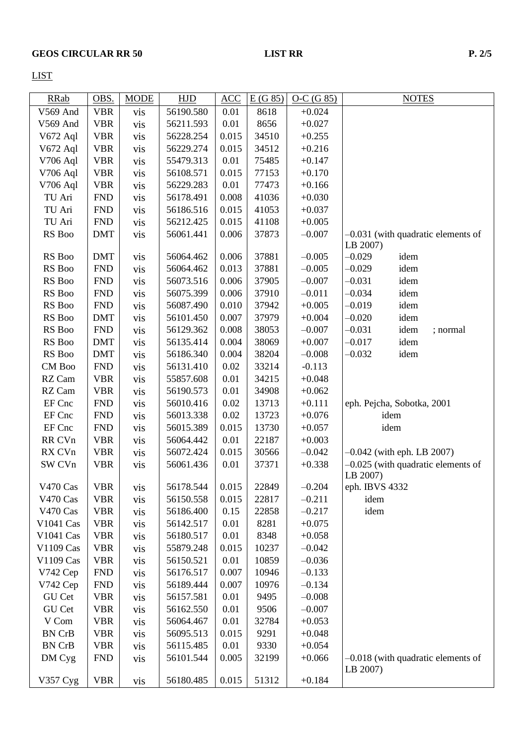LIST

| <b>RRab</b>   | OBS.       | <b>MODE</b> | <b>HJD</b> | ACC   | E(G 85) | $O-C(G 85)$ |                | <b>NOTES</b>                         |
|---------------|------------|-------------|------------|-------|---------|-------------|----------------|--------------------------------------|
| V569 And      | <b>VBR</b> | vis         | 56190.580  | 0.01  | 8618    | $+0.024$    |                |                                      |
| V569 And      | <b>VBR</b> | vis         | 56211.593  | 0.01  | 8656    | $+0.027$    |                |                                      |
| V672 Aql      | <b>VBR</b> | vis         | 56228.254  | 0.015 | 34510   | $+0.255$    |                |                                      |
| V672 Aql      | <b>VBR</b> | vis         | 56229.274  | 0.015 | 34512   | $+0.216$    |                |                                      |
| V706 Aql      | <b>VBR</b> | vis         | 55479.313  | 0.01  | 75485   | $+0.147$    |                |                                      |
| V706 Aql      | <b>VBR</b> | vis         | 56108.571  | 0.015 | 77153   | $+0.170$    |                |                                      |
| V706 Aql      | <b>VBR</b> | vis         | 56229.283  | 0.01  | 77473   | $+0.166$    |                |                                      |
| TU Ari        | <b>FND</b> | vis         | 56178.491  | 0.008 | 41036   | $+0.030$    |                |                                      |
| TU Ari        | <b>FND</b> | vis         | 56186.516  | 0.015 | 41053   | $+0.037$    |                |                                      |
| TU Ari        | <b>FND</b> | vis         | 56212.425  | 0.015 | 41108   | $+0.005$    |                |                                      |
| RS Boo        | <b>DMT</b> | vis         | 56061.441  | 0.006 | 37873   | $-0.007$    |                | -0.031 (with quadratic elements of   |
|               |            |             |            |       |         |             | LB 2007)       |                                      |
| RS Boo        | <b>DMT</b> | vis         | 56064.462  | 0.006 | 37881   | $-0.005$    | $-0.029$       | idem                                 |
| RS Boo        | <b>FND</b> | vis         | 56064.462  | 0.013 | 37881   | $-0.005$    | $-0.029$       | idem                                 |
| RS Boo        | <b>FND</b> | vis         | 56073.516  | 0.006 | 37905   | $-0.007$    | $-0.031$       | idem                                 |
| RS Boo        | <b>FND</b> | vis         | 56075.399  | 0.006 | 37910   | $-0.011$    | $-0.034$       | idem                                 |
| RS Boo        | <b>FND</b> | vis         | 56087.490  | 0.010 | 37942   | $+0.005$    | $-0.019$       | idem                                 |
| RS Boo        | <b>DMT</b> | vis         | 56101.450  | 0.007 | 37979   | $+0.004$    | $-0.020$       | idem                                 |
| RS Boo        | <b>FND</b> | vis         | 56129.362  | 0.008 | 38053   | $-0.007$    | $-0.031$       | idem<br>; normal                     |
| RS Boo        | <b>DMT</b> | vis         | 56135.414  | 0.004 | 38069   | $+0.007$    | $-0.017$       | idem                                 |
| RS Boo        | <b>DMT</b> | vis         | 56186.340  | 0.004 | 38204   | $-0.008$    | $-0.032$       | idem                                 |
| CM Boo        | <b>FND</b> | vis         | 56131.410  | 0.02  | 33214   | $-0.113$    |                |                                      |
| RZ Cam        | <b>VBR</b> | vis         | 55857.608  | 0.01  | 34215   | $+0.048$    |                |                                      |
| RZ Cam        | <b>VBR</b> | vis         | 56190.573  | 0.01  | 34908   | $+0.062$    |                |                                      |
| EF Cnc        | <b>FND</b> | vis         | 56010.416  | 0.02  | 13713   | $+0.111$    |                | eph. Pejcha, Sobotka, 2001           |
| EF Cnc        | <b>FND</b> | vis         | 56013.338  | 0.02  | 13723   | $+0.076$    |                | idem                                 |
| EF Cnc        | <b>FND</b> | vis         | 56015.389  | 0.015 | 13730   | $+0.057$    |                | idem                                 |
| RR CVn        | <b>VBR</b> | vis         | 56064.442  | 0.01  | 22187   | $+0.003$    |                |                                      |
| RX CVn        | <b>VBR</b> | vis         | 56072.424  | 0.015 | 30566   | $-0.042$    |                | $-0.042$ (with eph. LB 2007)         |
| SW CVn        | <b>VBR</b> |             | 56061.436  | 0.01  | 37371   | $+0.338$    |                | $-0.025$ (with quadratic elements of |
|               |            | vis         |            |       |         |             | LB 2007)       |                                      |
| V470 Cas      | <b>VBR</b> | vis         | 56178.544  | 0.015 | 22849   | $-0.204$    | eph. IBVS 4332 |                                      |
| V470 Cas      | <b>VBR</b> | vis         | 56150.558  | 0.015 | 22817   | $-0.211$    | idem           |                                      |
| V470 Cas      | <b>VBR</b> | vis         | 56186.400  | 0.15  | 22858   | $-0.217$    | idem           |                                      |
| V1041 Cas     | <b>VBR</b> | vis         | 56142.517  | 0.01  | 8281    | $+0.075$    |                |                                      |
| V1041 Cas     | <b>VBR</b> | vis         | 56180.517  | 0.01  | 8348    | $+0.058$    |                |                                      |
| V1109 Cas     | <b>VBR</b> | vis         | 55879.248  | 0.015 | 10237   | $-0.042$    |                |                                      |
| V1109 Cas     | <b>VBR</b> | vis         | 56150.521  | 0.01  | 10859   | $-0.036$    |                |                                      |
| V742 Cep      | <b>FND</b> | vis         | 56176.517  | 0.007 | 10946   | $-0.133$    |                |                                      |
| V742 Cep      | <b>FND</b> | vis         | 56189.444  | 0.007 | 10976   | $-0.134$    |                |                                      |
| GU Cet        | <b>VBR</b> | vis         | 56157.581  | 0.01  | 9495    | $-0.008$    |                |                                      |
| GU Cet        | <b>VBR</b> |             | 56162.550  | 0.01  | 9506    | $-0.007$    |                |                                      |
| V Com         | <b>VBR</b> | vis         | 56064.467  |       | 32784   | $+0.053$    |                |                                      |
|               |            | vis         |            | 0.01  |         |             |                |                                      |
| <b>BN CrB</b> | <b>VBR</b> | vis         | 56095.513  | 0.015 | 9291    | $+0.048$    |                |                                      |
| <b>BN CrB</b> | <b>VBR</b> | vis         | 56115.485  | 0.01  | 9330    | $+0.054$    |                |                                      |
| DM Cyg        | <b>FND</b> | vis         | 56101.544  | 0.005 | 32199   | $+0.066$    | LB 2007)       | $-0.018$ (with quadratic elements of |
| V357 Cyg      | <b>VBR</b> | vis         | 56180.485  | 0.015 | 51312   | $+0.184$    |                |                                      |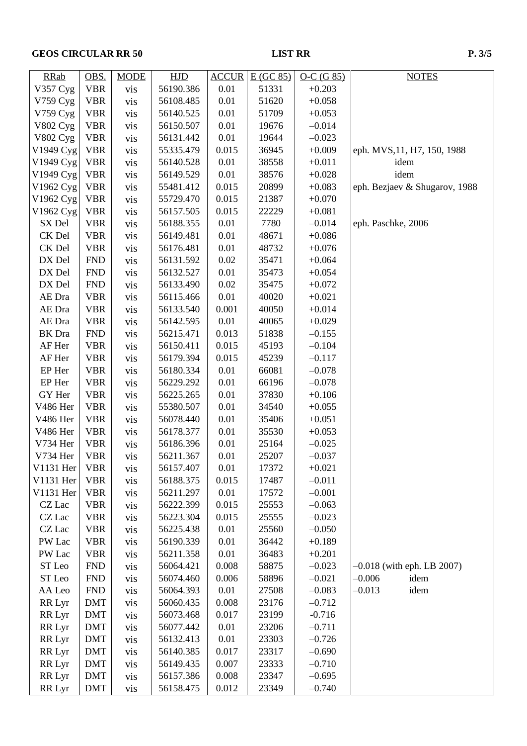# **GEOS CIRCULAR RR 50 LIST RR**

| × | ۰, |
|---|----|

| <b>RRab</b>   | OBS.       | <b>MODE</b> | <b>HJD</b> | <b>ACCUR</b> | E(GC 85) | $O-C(G 85)$ | <b>NOTES</b>                                     |
|---------------|------------|-------------|------------|--------------|----------|-------------|--------------------------------------------------|
| V357 Cyg      | <b>VBR</b> | vis         | 56190.386  | 0.01         | 51331    | $+0.203$    |                                                  |
| V759 Cyg      | <b>VBR</b> | vis         | 56108.485  | 0.01         | 51620    | $+0.058$    |                                                  |
| V759 Cyg      | <b>VBR</b> | vis         | 56140.525  | 0.01         | 51709    | $+0.053$    |                                                  |
| V802 Cyg      | <b>VBR</b> | vis         | 56150.507  | 0.01         | 19676    | $-0.014$    |                                                  |
| V802 Cyg      | <b>VBR</b> | vis         | 56131.442  | 0.01         | 19644    | $-0.023$    |                                                  |
| V1949 Cyg     | <b>VBR</b> | vis         | 55335.479  | 0.015        | 36945    | $+0.009$    | eph. MVS, 11, H7, 150, 1988                      |
| V1949 Cyg     | <b>VBR</b> | vis         | 56140.528  | 0.01         | 38558    | $+0.011$    | idem                                             |
| V1949 Cyg     | <b>VBR</b> | vis         | 56149.529  | 0.01         | 38576    | $+0.028$    | idem                                             |
| V1962 Cyg     | <b>VBR</b> | vis         | 55481.412  | 0.015        | 20899    | $+0.083$    | eph. Bezjaev & Shugarov, 1988                    |
| V1962 Cyg     | <b>VBR</b> | vis         | 55729.470  | 0.015        | 21387    | $+0.070$    |                                                  |
| V1962 Cyg     | <b>VBR</b> | vis         | 56157.505  | 0.015        | 22229    | $+0.081$    |                                                  |
| SX Del        | <b>VBR</b> | vis         | 56188.355  | 0.01         | 7780     | $-0.014$    | eph. Paschke, 2006                               |
| CK Del        | <b>VBR</b> | vis         | 56149.481  | 0.01         | 48671    | $+0.086$    |                                                  |
| CK Del        | <b>VBR</b> | vis         | 56176.481  | 0.01         | 48732    | $+0.076$    |                                                  |
| DX Del        | <b>FND</b> | vis         | 56131.592  | 0.02         | 35471    | $+0.064$    |                                                  |
| DX Del        | <b>FND</b> | vis         | 56132.527  | 0.01         | 35473    | $+0.054$    |                                                  |
| DX Del        | <b>FND</b> | vis         | 56133.490  | 0.02         | 35475    | $+0.072$    |                                                  |
| AE Dra        | <b>VBR</b> | vis         | 56115.466  | 0.01         | 40020    | $+0.021$    |                                                  |
| AE Dra        | <b>VBR</b> | vis         | 56133.540  | 0.001        | 40050    | $+0.014$    |                                                  |
| AE Dra        | <b>VBR</b> | vis         | 56142.595  | 0.01         | 40065    | $+0.029$    |                                                  |
| <b>BK</b> Dra | <b>FND</b> | vis         | 56215.471  | 0.013        | 51838    | $-0.155$    |                                                  |
| AF Her        | <b>VBR</b> | vis         | 56150.411  | 0.015        | 45193    | $-0.104$    |                                                  |
| AF Her        | <b>VBR</b> | vis         | 56179.394  | 0.015        | 45239    | $-0.117$    |                                                  |
| EP Her        | <b>VBR</b> | vis         | 56180.334  | 0.01         | 66081    | $-0.078$    |                                                  |
| EP Her        | <b>VBR</b> | vis         | 56229.292  | 0.01         | 66196    | $-0.078$    |                                                  |
| GY Her        | <b>VBR</b> | vis         | 56225.265  | 0.01         | 37830    | $+0.106$    |                                                  |
| V486 Her      | <b>VBR</b> | vis         | 55380.507  | 0.01         | 34540    | $+0.055$    |                                                  |
| V486 Her      | <b>VBR</b> | vis         | 56078.440  | 0.01         | 35406    | $+0.051$    |                                                  |
| V486 Her      | <b>VBR</b> | vis         | 56178.377  | 0.01         | 35530    | $+0.053$    |                                                  |
| V734 Her      | <b>VBR</b> | vis         | 56186.396  | 0.01         | 25164    | $-0.025$    |                                                  |
| V734 Her      | <b>VBR</b> | vis         | 56211.367  | 0.01         | 25207    | $-0.037$    |                                                  |
| V1131 Her     | <b>VBR</b> | vis         | 56157.407  | 0.01         | 17372    | $+0.021$    |                                                  |
| V1131 Her     | <b>VBR</b> | vis         | 56188.375  | 0.015        | 17487    | $-0.011$    |                                                  |
| V1131 Her     | <b>VBR</b> |             | 56211.297  | 0.01         | 17572    | $-0.001$    |                                                  |
| CZ Lac        | <b>VBR</b> | vis         | 56222.399  | 0.015        | 25553    | $-0.063$    |                                                  |
| CZ Lac        | <b>VBR</b> | vis         | 56223.304  | 0.015        | 25555    | $-0.023$    |                                                  |
| CZ Lac        | <b>VBR</b> | vis         | 56225.438  | 0.01         | 25560    | $-0.050$    |                                                  |
| PW Lac        | <b>VBR</b> | vis         | 56190.339  | 0.01         | 36442    | $+0.189$    |                                                  |
| PW Lac        | <b>VBR</b> | vis         | 56211.358  | 0.01         | 36483    | $+0.201$    |                                                  |
| ST Leo        | <b>FND</b> | vis         | 56064.421  | 0.008        | 58875    | $-0.023$    |                                                  |
| ST Leo        |            | vis         |            | 0.006        |          | $-0.021$    | $-0.018$ (with eph. LB 2007)<br>$-0.006$<br>idem |
|               | <b>FND</b> | vis         | 56074.460  |              | 58896    |             | $-0.013$                                         |
| AA Leo        | <b>FND</b> | vis         | 56064.393  | 0.01         | 27508    | $-0.083$    | idem                                             |
| RR Lyr        | <b>DMT</b> | vis         | 56060.435  | 0.008        | 23176    | $-0.712$    |                                                  |
| RR Lyr        | <b>DMT</b> | vis         | 56073.468  | 0.017        | 23199    | $-0.716$    |                                                  |
| RR Lyr        | <b>DMT</b> | vis         | 56077.442  | 0.01         | 23206    | $-0.711$    |                                                  |
| RR Lyr        | <b>DMT</b> | vis         | 56132.413  | 0.01         | 23303    | $-0.726$    |                                                  |
| RR Lyr        | <b>DMT</b> | vis         | 56140.385  | 0.017        | 23317    | $-0.690$    |                                                  |
| RR Lyr        | <b>DMT</b> | vis         | 56149.435  | 0.007        | 23333    | $-0.710$    |                                                  |
| RR Lyr        | <b>DMT</b> | vis         | 56157.386  | 0.008        | 23347    | $-0.695$    |                                                  |
| RR Lyr        | <b>DMT</b> | vis         | 56158.475  | 0.012        | 23349    | $-0.740$    |                                                  |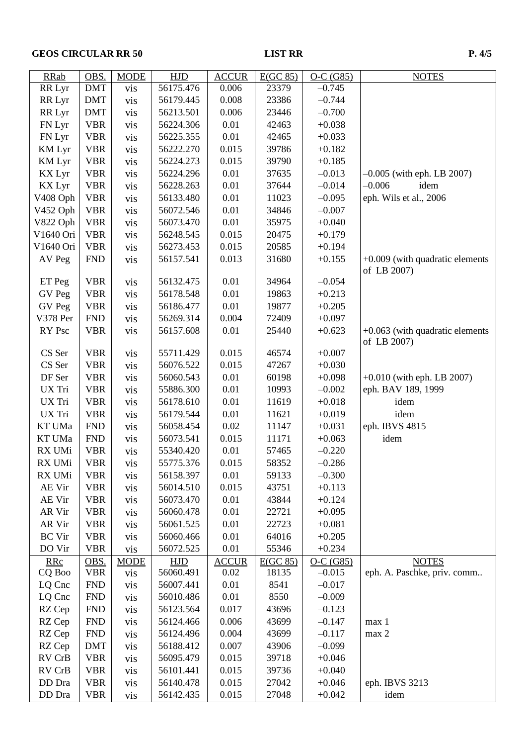# **GEOS CIRCULAR RR 50 LIST RR**

| <b>RRab</b>   | OBS.           | <b>MODE</b>      | <b>HJD</b> | <b>ACCUR</b> | E(GC 85) | $O-C(G85)$ | <b>NOTES</b>                                     |
|---------------|----------------|------------------|------------|--------------|----------|------------|--------------------------------------------------|
| RR Lyr        | <b>DMT</b>     | vis              | 56175.476  | 0.006        | 23379    | $-0.745$   |                                                  |
| RR Lyr        | <b>DMT</b>     | vis              | 56179.445  | 0.008        | 23386    | $-0.744$   |                                                  |
| RR Lyr        | <b>DMT</b>     | vis              | 56213.501  | 0.006        | 23446    | $-0.700$   |                                                  |
| FN Lyr        | <b>VBR</b>     | vis              | 56224.306  | 0.01         | 42463    | $+0.038$   |                                                  |
| FN Lyr        | <b>VBR</b>     | vis              | 56225.355  | 0.01         | 42465    | $+0.033$   |                                                  |
| <b>KM</b> Lyr | <b>VBR</b>     | vis              | 56222.270  | 0.015        | 39786    | $+0.182$   |                                                  |
| <b>KM</b> Lyr | <b>VBR</b>     | vis              | 56224.273  | 0.015        | 39790    | $+0.185$   |                                                  |
| <b>KX</b> Lyr | <b>VBR</b>     | vis              | 56224.296  | 0.01         | 37635    | $-0.013$   | $-0.005$ (with eph. LB 2007)                     |
| KX Lyr        | <b>VBR</b>     | vis              | 56228.263  | 0.01         | 37644    | $-0.014$   | $-0.006$<br>idem                                 |
| V408 Oph      | <b>VBR</b>     | vis              | 56133.480  | 0.01         | 11023    | $-0.095$   | eph. Wils et al., 2006                           |
| V452 Oph      | <b>VBR</b>     | vis              | 56072.546  | 0.01         | 34846    | $-0.007$   |                                                  |
| V822 Oph      | <b>VBR</b>     | vis              | 56073.470  | 0.01         | 35975    | $+0.040$   |                                                  |
| V1640 Ori     | <b>VBR</b>     | vis              | 56248.545  | 0.015        | 20475    | $+0.179$   |                                                  |
| V1640 Ori     | <b>VBR</b>     | vis              | 56273.453  | 0.015        | 20585    | $+0.194$   |                                                  |
| AV Peg        | <b>FND</b>     | vis              | 56157.541  | 0.013        | 31680    | $+0.155$   | $+0.009$ (with quadratic elements<br>of LB 2007) |
| ET Peg        | <b>VBR</b>     | vis              | 56132.475  | 0.01         | 34964    | $-0.054$   |                                                  |
| GV Peg        | <b>VBR</b>     | vis              | 56178.548  | 0.01         | 19863    | $+0.213$   |                                                  |
| GV Peg        | <b>VBR</b>     | vis              | 56186.477  | 0.01         | 19877    | $+0.205$   |                                                  |
| V378 Per      | ${\hbox{FND}}$ | vis              | 56269.314  | 0.004        | 72409    | $+0.097$   |                                                  |
| RY Psc        | <b>VBR</b>     | vis              | 56157.608  | 0.01         | 25440    | $+0.623$   | $+0.063$ (with quadratic elements<br>of LB 2007) |
| CS Ser        | <b>VBR</b>     | vis              | 55711.429  | 0.015        | 46574    | $+0.007$   |                                                  |
| CS Ser        | <b>VBR</b>     | vis              | 56076.522  | 0.015        | 47267    | $+0.030$   |                                                  |
| DF Ser        | <b>VBR</b>     | vis              | 56060.543  | 0.01         | 60198    | $+0.098$   | $+0.010$ (with eph. LB 2007)                     |
| UX Tri        | <b>VBR</b>     | vis              | 55886.300  | 0.01         | 10993    | $-0.002$   | eph. BAV 189, 1999                               |
| UX Tri        | <b>VBR</b>     | vis              | 56178.610  | 0.01         | 11619    | $+0.018$   | idem                                             |
| UX Tri        | <b>VBR</b>     | vis              | 56179.544  | 0.01         | 11621    | $+0.019$   | idem                                             |
| KT UMa        | <b>FND</b>     | vis              | 56058.454  | 0.02         | 11147    | $+0.031$   | eph. IBVS 4815                                   |
| KT UMa        | <b>FND</b>     | vis              | 56073.541  | 0.015        | 11171    | $+0.063$   | idem                                             |
| RX UMi        | <b>VBR</b>     | vis              | 55340.420  | 0.01         | 57465    | $-0.220$   |                                                  |
| RX UMi        | <b>VBR</b>     | V <sub>1</sub> S | 55775.376  | 0.015        | 58352    | $-0.286$   |                                                  |
| RX UMi        | <b>VBR</b>     | vis              | 56158.397  | 0.01         | 59133    | $-0.300$   |                                                  |
| AE Vir        | <b>VBR</b>     | vis              | 56014.510  | 0.015        | 43751    | $+0.113$   |                                                  |
| AE Vir        | <b>VBR</b>     | vis              | 56073.470  | 0.01         | 43844    | $+0.124$   |                                                  |
| AR Vir        | <b>VBR</b>     | vis              | 56060.478  | 0.01         | 22721    | $+0.095$   |                                                  |
| AR Vir        | <b>VBR</b>     | vis              | 56061.525  | 0.01         | 22723    | $+0.081$   |                                                  |
| <b>BC</b> Vir | <b>VBR</b>     | vis              | 56060.466  | 0.01         | 64016    | $+0.205$   |                                                  |
| DO Vir        | <b>VBR</b>     | vis              | 56072.525  | 0.01         | 55346    | $+0.234$   |                                                  |
| <b>RRc</b>    | OBS.           | <b>MODE</b>      | <b>HJD</b> | <b>ACCUR</b> | E(GC 85) | $O-C(G85)$ | <b>NOTES</b>                                     |
| CQ Boo        | <b>VBR</b>     | vis              | 56060.491  | 0.02         | 18135    | $-0.015$   | eph. A. Paschke, priv. comm                      |
| LQ Cnc        | <b>FND</b>     | vis              | 56007.441  | 0.01         | 8541     | $-0.017$   |                                                  |
| LQ Cnc        | <b>FND</b>     | vis              | 56010.486  | 0.01         | 8550     | $-0.009$   |                                                  |
| RZ Cep        | <b>FND</b>     | vis              | 56123.564  | 0.017        | 43696    | $-0.123$   |                                                  |
| RZ Cep        | <b>FND</b>     | vis              | 56124.466  | 0.006        | 43699    | $-0.147$   | max 1                                            |
| RZ Cep        | <b>FND</b>     | vis              | 56124.496  | 0.004        | 43699    | $-0.117$   | max 2                                            |
| RZ Cep        | <b>DMT</b>     | vis              | 56188.412  | 0.007        | 43906    | $-0.099$   |                                                  |
| RV CrB        | <b>VBR</b>     | vis              | 56095.479  | 0.015        | 39718    | $+0.046$   |                                                  |
| RV CrB        | <b>VBR</b>     | vis              | 56101.441  | 0.015        | 39736    | $+0.040$   |                                                  |
| DD Dra        | <b>VBR</b>     | vis              | 56140.478  | 0.015        | 27042    | $+0.046$   | eph. IBVS 3213                                   |
| DD Dra        | <b>VBR</b>     | vis              | 56142.435  | 0.015        | 27048    | $+0.042$   | idem                                             |